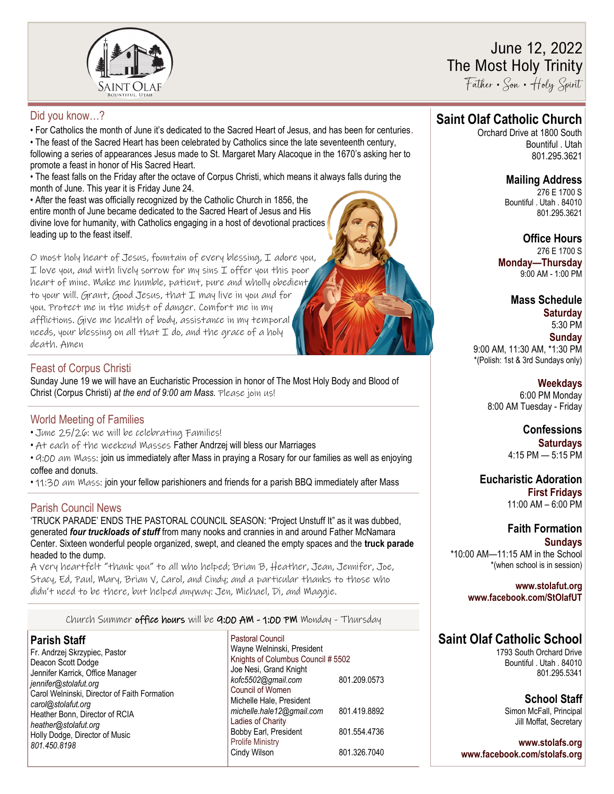

# June 12, 2022 The Most Holy Trinity

Father • Son • Holy Spirit

### Did you know…?

• For Catholics the month of June it's dedicated to the Sacred Heart of Jesus, and has been for centuries.

• The feast of the Sacred Heart has been celebrated by Catholics since the late seventeenth century, following a series of appearances Jesus made to St. Margaret Mary Alacoque in the 1670's asking her to promote a feast in honor of His Sacred Heart.

• The feast falls on the Friday after the octave of Corpus Christi, which means it always falls during the month of June. This year it is Friday June 24.

• After the feast was officially recognized by the Catholic Church in 1856, the entire month of June became dedicated to the Sacred Heart of Jesus and His divine love for humanity, with Catholics engaging in a host of devotional practices leading up to the feast itself.

O most holy heart of Jesus, fountain of every blessing, I adore you, I love you, and with lively sorrow for my sins I offer you this poor heart of mine. Make me humble, patient, pure and wholly obedient to your will. Grant, Good Jesus, that I may live in you and for you. Protect me in the midst of danger. Comfort me in my afflictions. Give me health of body, assistance in my temporal needs, your blessing on all that I do, and the grace of a holy death. Amen

## Feast of Corpus Christi

Sunday June 19 we will have an Eucharistic Procession in honor of The Most Holy Body and Blood of Christ (Corpus Christi) *at the end of 9:00 am Mass.* Please join us!

### World Meeting of Families

- June 25/26: we will be celebrating Families!
- At each of the weekend Masses Father Andrzej will bless our Marriages

• 4:00 am Mass: join us immediately after Mass in praying a Rosary for our families as well as enjoying coffee and donuts.

• 11:30 am Mass; join your fellow parishioners and friends for a parish BBQ immediately after Mass

# Parish Council News

'TRUCK PARADE' ENDS THE PASTORAL COUNCIL SEASON: "Project Unstuff It" as it was dubbed, generated *four truckloads of stuff* from many nooks and crannies in and around Father McNamara Center. Sixteen wonderful people organized, swept, and cleaned the empty spaces and the **truck parade**  headed to the dump.

A very heartfelt "thank you" to all who helped; Brian B, Heather, Jean, Jennifer, Joe, Stacy, Ed, Paul, Mary, Brian V, Carol, and Cindy; and a particular thanks to those who didn't need to be there, but helped anyway: Jen, Michael, Di, and Maggie.

Church Summer office hours will be  $q:$   $0$   $AW - 1:$   $0$   $PW$  Monday - Thursday

### **Parish Staff**

Fr. Andrzej Skrzypiec, Pastor Deacon Scott Dodge Jennifer Karrick, Office Manager *jennifer@stolafut.org* Carol Welninski, Director of Faith Formation *carol@stolafut.org* Heather Bonn, Director of RCIA *heather@stolafut.org* Holly Dodge, Director of Music *801.450.8198*

Pastoral Council Wayne Welninski, President Knights of Columbus Council # 5502 Joe Nesi, Grand Knight *kofc5502@gmail.com* 801.209.0573 Council of Women Michelle Hale, President *michelle.hale12@gmail.com* 801.419.8892 Ladies of Charity Bobby Earl, President 801.554.4736 Prolife Ministry Cindy Wilson 801.326.7040

# **Saint Olaf Catholic Church**

Orchard Drive at 1800 South Bountiful . Utah 801.295.3621

# **Mailing Address**

276 E 1700 S Bountiful . Utah . 84010 801.295.3621

**Office Hours** 276 E 1700 S **Monday—Thursday**  9:00 AM - 1:00 PM

**Mass Schedule Saturday** 5:30 PM

**Sunday** 9:00 AM, 11:30 AM, \*1:30 PM \*(Polish: 1st & 3rd Sundays only)

> **Weekdays** 6:00 PM Monday 8:00 AM Tuesday - Friday

> > **Confessions Saturdays** 4:15 PM — 5:15 PM

**Eucharistic Adoration First Fridays** 11:00 AM – 6:00 PM

# **Faith Formation**

**Sundays** \*10:00 AM—11:15 AM in the School \*(when school is in session)

#### **www.stolafut.org www.facebook.com/StOlafUT**

# **Saint Olaf Catholic School**

1793 South Orchard Drive Bountiful . Utah . 84010 801.295.5341

> **School Staff** Simon McFall, Principal Jill Moffat, Secretary

**www.stolafs.org www.facebook.com/stolafs.org**